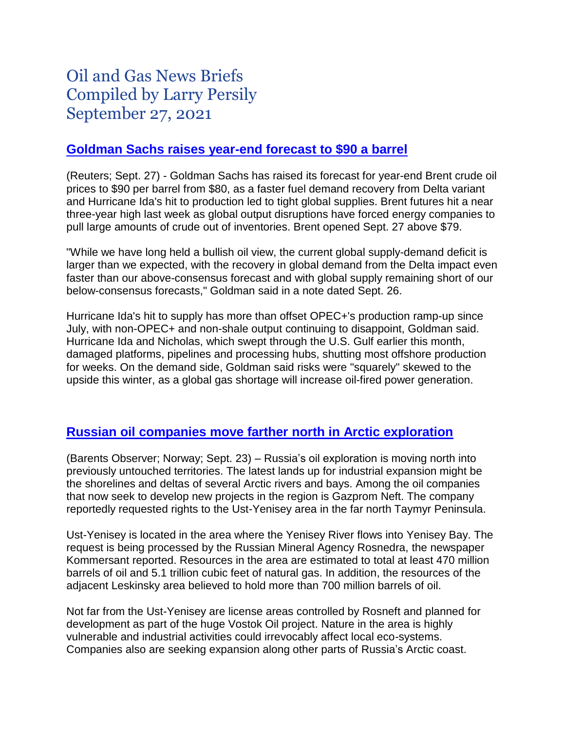# Oil and Gas News Briefs Compiled by Larry Persily September 27, 2021

### **[Goldman Sachs raises year-end forecast to \\$90 a barrel](https://www.reuters.com/business/energy/goldman-expects-oil-prices-hit-90-by-year-end-supply-tightens-2021-09-27/)**

(Reuters; Sept. 27) - Goldman Sachs has raised its forecast for year-end Brent crude oil prices to \$90 per barrel from \$80, as a faster fuel demand recovery from Delta variant and Hurricane Ida's hit to production led to tight global supplies. Brent futures hit a near three-year high last week as global output disruptions have forced energy companies to pull large amounts of crude out of inventories. Brent opened Sept. 27 above \$79.

"While we have long held a bullish oil view, the current global supply-demand deficit is larger than we expected, with the recovery in global demand from the Delta impact even faster than our above-consensus forecast and with global supply remaining short of our below-consensus forecasts," Goldman said in a note dated Sept. 26.

Hurricane Ida's hit to supply has more than offset OPEC+'s production ramp-up since July, with non-OPEC+ and non-shale output continuing to disappoint, Goldman said. Hurricane Ida and Nicholas, which swept through the U.S. Gulf earlier this month, damaged platforms, pipelines and processing hubs, shutting most offshore production for weeks. On the demand side, Goldman said risks were "squarely" skewed to the upside this winter, as a global gas shortage will increase oil-fired power generation.

# **[Russian oil companies move farther north in Arctic exploration](https://thebarentsobserver.com/en/industry-and-energy/2021/09/drilling-arctic-beach)**

(Barents Observer; Norway; Sept. 23) – Russia's oil exploration is moving north into previously untouched territories. The latest lands up for industrial expansion might be the shorelines and deltas of several Arctic rivers and bays. Among the oil companies that now seek to develop new projects in the region is Gazprom Neft. The company reportedly requested rights to the Ust-Yenisey area in the far north Taymyr Peninsula.

Ust-Yenisey is located in the area where the Yenisey River flows into Yenisey Bay. The request is being processed by the Russian Mineral Agency Rosnedra, the newspaper Kommersant reported. Resources in the area are estimated to total at least 470 million barrels of oil and 5.1 trillion cubic feet of natural gas. In addition, the resources of the adjacent Leskinsky area believed to hold more than 700 million barrels of oil.

Not far from the Ust-Yenisey are license areas controlled by Rosneft and planned for development as part of the huge Vostok Oil project. Nature in the area is highly vulnerable and industrial activities could irrevocably affect local eco-systems. Companies also are seeking expansion along other parts of Russia's Arctic coast.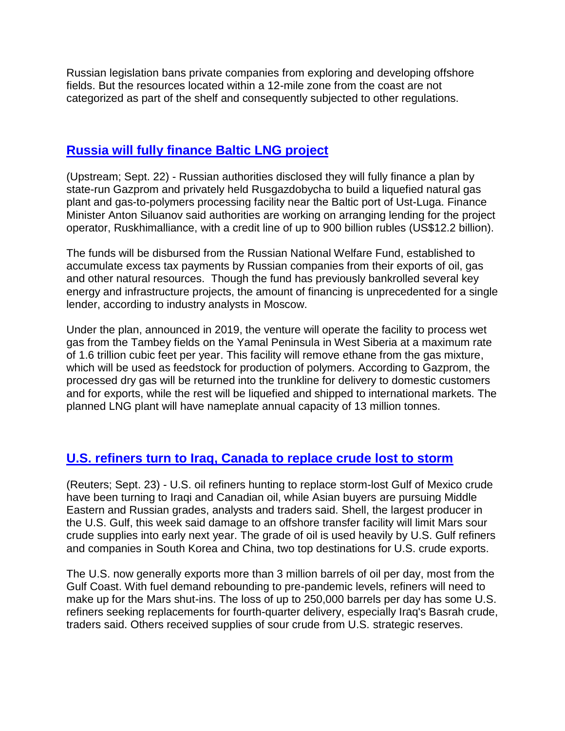Russian legislation bans private companies from exploring and developing offshore fields. But the resources located within a 12-mile zone from the coast are not categorized as part of the shelf and consequently subjected to other regulations.

### **Russia will fully [finance Baltic LNG project](https://www.upstreamonline.com/production/state-lifeline-russia-promises-12-billion-to-baltic-lng-project/2-1-1071680)**

(Upstream; Sept. 22) - Russian authorities disclosed they will fully finance a plan by state-run Gazprom and privately held Rusgazdobycha to build a liquefied natural gas plant and gas-to-polymers processing facility near the Baltic port of Ust-Luga. Finance Minister Anton Siluanov said authorities are working on arranging lending for the project operator, Ruskhimalliance, with a credit line of up to 900 billion rubles (US\$12.2 billion).

The funds will be disbursed from the Russian National Welfare Fund, established to accumulate excess tax payments by Russian companies from their exports of oil, gas and other natural resources. Though the fund has previously bankrolled several key energy and infrastructure projects, the amount of financing is unprecedented for a single lender, according to industry analysts in Moscow.

Under the plan, announced in 2019, the venture will operate the facility to process wet gas from the Tambey fields on the Yamal Peninsula in West Siberia at a maximum rate of 1.6 trillion cubic feet per year. This facility will remove ethane from the gas mixture, which will be used as feedstock for production of polymers. According to Gazprom, the processed dry gas will be returned into the trunkline for delivery to domestic customers and for exports, while the rest will be liquefied and shipped to international markets. The planned LNG plant will have nameplate annual capacity of 13 million tonnes.

# **[U.S. refiners turn to Iraq, Canada to replace crude lost to storm](https://www.reuters.com/business/energy/us-oil-refiners-use-iraqi-canadian-crudes-replace-storm-losses-traders-2021-09-23/)**

(Reuters; Sept. 23) - U.S. oil refiners hunting to replace storm-lost Gulf of Mexico crude have been turning to Iraqi and Canadian oil, while Asian buyers are pursuing Middle Eastern and Russian grades, analysts and traders said. Shell, the largest producer in the U.S. Gulf, this week said damage to an offshore transfer facility will limit Mars sour crude supplies into early next year. The grade of oil is used heavily by U.S. Gulf refiners and companies in South Korea and China, two top destinations for U.S. crude exports.

The U.S. now generally exports more than 3 million barrels of oil per day, most from the Gulf Coast. With fuel demand rebounding to pre-pandemic levels, refiners will need to make up for the Mars shut-ins. The loss of up to 250,000 barrels per day has some U.S. refiners seeking replacements for fourth-quarter delivery, especially Iraq's Basrah crude, traders said. Others received supplies of sour crude from U.S. strategic reserves.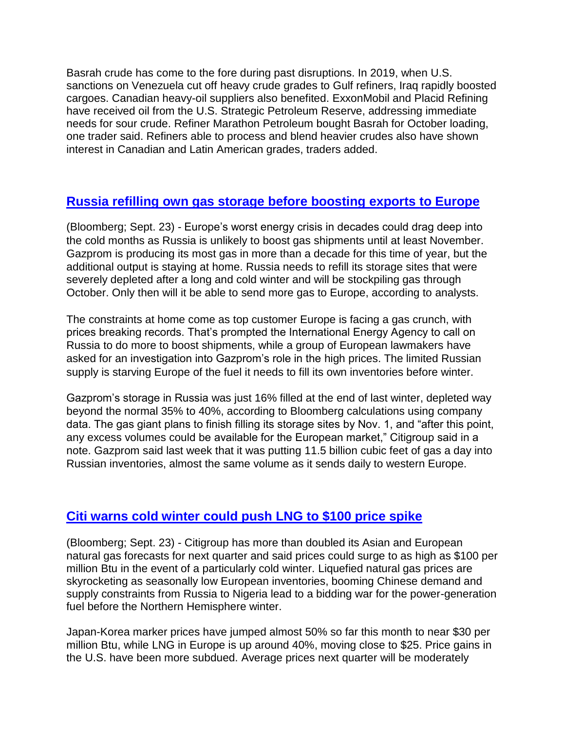Basrah crude has come to the fore during past disruptions. In 2019, when U.S. sanctions on Venezuela cut off heavy crude grades to Gulf refiners, Iraq rapidly boosted cargoes. Canadian heavy-oil suppliers also benefited. ExxonMobil and Placid Refining have received oil from the U.S. Strategic Petroleum Reserve, addressing immediate needs for sour crude. Refiner Marathon Petroleum bought Basrah for October loading, one trader said. Refiners able to process and blend heavier crudes also have shown interest in Canadian and Latin American grades, traders added.

# **[Russia refilling own gas storage before boosting exports to Europe](https://www.bnnbloomberg.ca/why-gas-giant-russia-is-no-quick-fix-for-europe-s-energy-crunch-1.1656274)**

(Bloomberg; Sept. 23) - Europe's worst energy crisis in decades could drag deep into the cold months as Russia is unlikely to boost gas shipments until at least November. Gazprom is producing its most gas in more than a decade for this time of year, but the additional output is staying at home. Russia needs to refill its storage sites that were severely depleted after a long and cold winter and will be stockpiling gas through October. Only then will it be able to send more gas to Europe, according to analysts.

The constraints at home come as top customer Europe is facing a gas crunch, with prices breaking records. That's prompted the International Energy Agency to call on Russia to do more to boost shipments, while a group of European lawmakers have asked for an investigation into Gazprom's role in the high prices. The limited Russian supply is starving Europe of the fuel it needs to fill its own inventories before winter.

Gazprom's storage in Russia was just 16% filled at the end of last winter, depleted way beyond the normal 35% to 40%, according to Bloomberg calculations using company data. The gas giant plans to finish filling its storage sites by Nov. 1, and "after this point, any excess volumes could be available for the European market," Citigroup said in a note. Gazprom said last week that it was putting 11.5 billion cubic feet of gas a day into Russian inventories, almost the same volume as it sends daily to western Europe.

# **[Citi warns cold winter could push LNG to \\$100 price spike](https://www.bnnbloomberg.ca/citi-isn-t-ruling-out-natural-gas-at-100-in-a-frigid-winter-1.1656209)**

(Bloomberg; Sept. 23) - Citigroup has more than doubled its Asian and European natural gas forecasts for next quarter and said prices could surge to as high as \$100 per million Btu in the event of a particularly cold winter. Liquefied natural gas prices are skyrocketing as seasonally low European inventories, booming Chinese demand and supply constraints from Russia to Nigeria lead to a bidding war for the power-generation fuel before the Northern Hemisphere winter.

Japan-Korea marker prices have jumped almost 50% so far this month to near \$30 per million Btu, while LNG in Europe is up around 40%, moving close to \$25. Price gains in the U.S. have been more subdued. Average prices next quarter will be moderately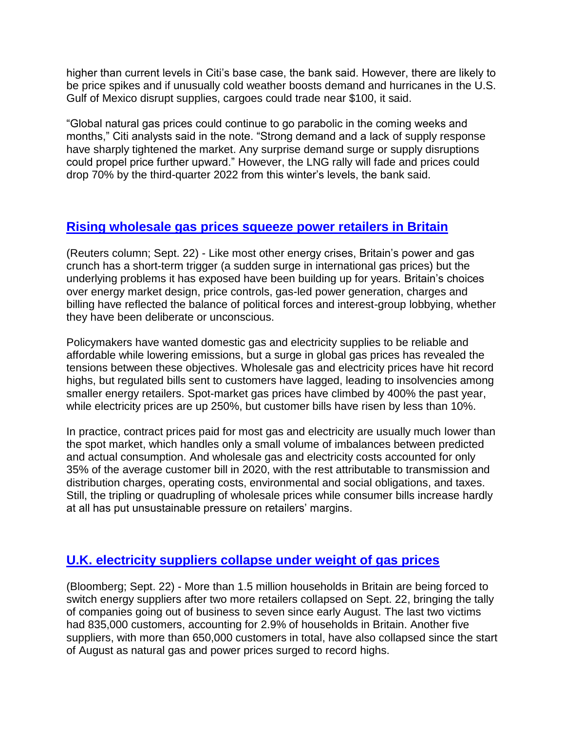higher than current levels in Citi's base case, the bank said. However, there are likely to be price spikes and if unusually cold weather boosts demand and hurricanes in the U.S. Gulf of Mexico disrupt supplies, cargoes could trade near \$100, it said.

"Global natural gas prices could continue to go parabolic in the coming weeks and months," Citi analysts said in the note. "Strong demand and a lack of supply response have sharply tightened the market. Any surprise demand surge or supply disruptions could propel price further upward." However, the LNG rally will fade and prices could drop 70% by the third-quarter 2022 from this winter's levels, the bank said.

### **[Rising wholesale gas prices squeeze power retailers in Britain](https://www.nasdaq.com/articles/column-uk-energy-fragility-unmasked-by-surge-in-global-gas-prices%3A-kemp-2021-09-23)**

(Reuters column; Sept. 22) - Like most other energy crises, Britain's power and gas crunch has a short-term trigger (a sudden surge in international gas prices) but the underlying problems it has exposed have been building up for years. Britain's choices over energy market design, price controls, gas-led power generation, charges and billing have reflected the balance of political forces and interest-group lobbying, whether they have been deliberate or unconscious.

Policymakers have wanted domestic gas and electricity supplies to be reliable and affordable while lowering emissions, but a surge in global gas prices has revealed the tensions between these objectives. Wholesale gas and electricity prices have hit record highs, but regulated bills sent to customers have lagged, leading to insolvencies among smaller energy retailers. Spot-market gas prices have climbed by 400% the past year, while electricity prices are up 250%, but customer bills have risen by less than 10%.

In practice, contract prices paid for most gas and electricity are usually much lower than the spot market, which handles only a small volume of imbalances between predicted and actual consumption. And wholesale gas and electricity costs accounted for only 35% of the average customer bill in 2020, with the rest attributable to transmission and distribution charges, operating costs, environmental and social obligations, and taxes. Still, the tripling or quadrupling of wholesale prices while consumer bills increase hardly at all has put unsustainable pressure on retailers' margins.

# **[U.K. electricity suppliers collapse under weight of gas prices](https://www.bnnbloomberg.ca/u-k-energy-supplier-collapse-now-affects-1-5-million-households-1.1655824)**

(Bloomberg; Sept. 22) - More than 1.5 million households in Britain are being forced to switch energy suppliers after two more retailers collapsed on Sept. 22, bringing the tally of companies going out of business to seven since early August. The last two victims had 835,000 customers, accounting for 2.9% of households in Britain. Another five suppliers, with more than 650,000 customers in total, have also collapsed since the start of August as natural gas and power prices surged to record highs.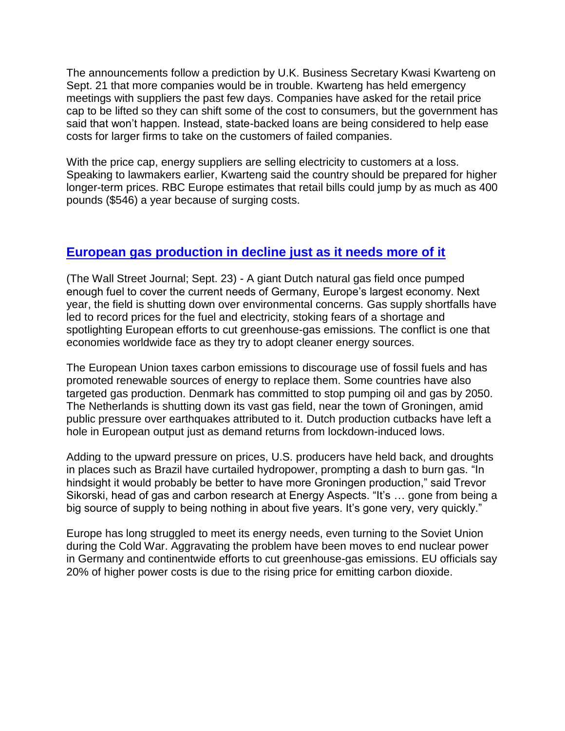The announcements follow a prediction by U.K. Business Secretary Kwasi Kwarteng on Sept. 21 that more companies would be in trouble. Kwarteng has held emergency meetings with suppliers the past few days. Companies have asked for the retail price cap to be lifted so they can shift some of the cost to consumers, but the government has said that won't happen. Instead, state-backed loans are being considered to help ease costs for larger firms to take on the customers of failed companies.

With the price cap, energy suppliers are selling electricity to customers at a loss. Speaking to lawmakers earlier, Kwarteng said the country should be prepared for higher longer-term prices. RBC Europe estimates that retail bills could jump by as much as 400 pounds (\$546) a year because of surging costs.

# **[European gas production in decline just as it needs more of it](https://www.wsj.com/articles/europe-is-pumping-less-gas-as-demand-revives-leaving-a-gap-russia-is-filling-11632308400?mod=itp_wsj&ru=yahoo)**

(The Wall Street Journal; Sept. 23) - A giant Dutch natural gas field once pumped enough fuel to cover the current needs of Germany, Europe's largest economy. Next year, the field is shutting down over environmental concerns. Gas supply shortfalls have led to record prices for the fuel and electricity, stoking fears of a shortage and spotlighting European efforts to cut greenhouse-gas emissions. The conflict is one that economies worldwide face as they try to adopt cleaner energy sources.

The European Union taxes carbon emissions to discourage use of fossil fuels and has promoted renewable sources of energy to replace them. Some countries have also targeted gas production. Denmark has committed to stop pumping oil and gas by 2050. The Netherlands is shutting down its vast gas field, near the town of Groningen, amid public pressure over earthquakes attributed to it. Dutch production cutbacks have left a hole in European output just as demand returns from lockdown-induced lows.

Adding to the upward pressure on prices, U.S. producers have held back, and droughts in places such as Brazil have curtailed hydropower, prompting a dash to burn gas. "In hindsight it would probably be better to have more Groningen production," said Trevor Sikorski, head of gas and carbon research at Energy Aspects. "It's … gone from being a big source of supply to being nothing in about five years. It's gone very, very quickly."

Europe has long struggled to meet its energy needs, even turning to the Soviet Union during the Cold War. Aggravating the problem have been moves to end nuclear power in Germany and continentwide efforts to cut greenhouse-gas emissions. EU officials say 20% of higher power costs is due to the rising price for emitting carbon dioxide.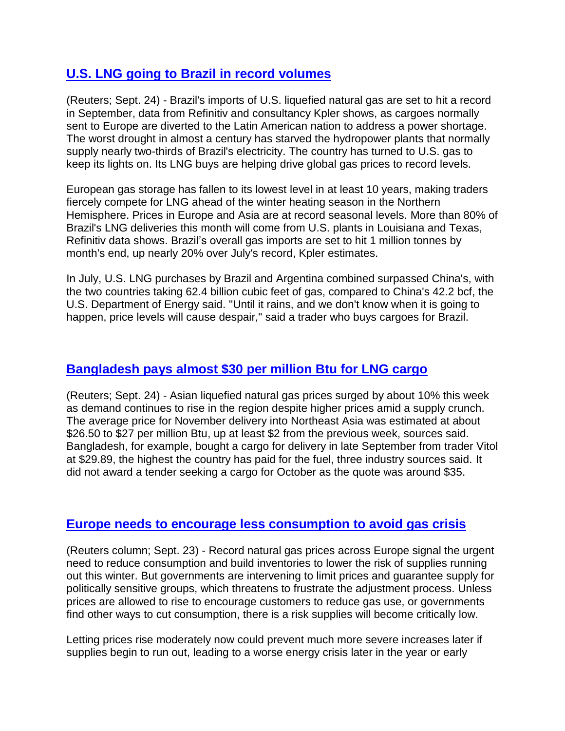# **[U.S. LNG going to Brazil in record volumes](https://finance.yahoo.com/news/brazils-record-lng-imports-draw-040100548.html)**

(Reuters; Sept. 24) - Brazil's imports of U.S. liquefied natural gas are set to hit a record in September, data from Refinitiv and consultancy Kpler shows, as cargoes normally sent to Europe are diverted to the Latin American nation to address a power shortage. The worst drought in almost a century has starved the hydropower plants that normally supply nearly two-thirds of Brazil's electricity. The country has turned to U.S. gas to keep its lights on. Its LNG buys are helping drive global gas prices to record levels.

European gas storage has fallen to its lowest level in at least 10 years, making traders fiercely compete for LNG ahead of the winter heating season in the Northern Hemisphere. Prices in Europe and Asia are at record seasonal levels. More than 80% of Brazil's LNG deliveries this month will come from U.S. plants in Louisiana and Texas, Refinitiv data shows. Brazil's overall gas imports are set to hit 1 million tonnes by month's end, up nearly 20% over July's record, Kpler estimates.

In July, U.S. LNG purchases by Brazil and Argentina combined surpassed China's, with the two countries taking 62.4 billion cubic feet of gas, compared to China's 42.2 bcf, the U.S. Department of Energy said. "Until it rains, and we don't know when it is going to happen, price levels will cause despair," said a trader who buys cargoes for Brazil.

### **[Bangladesh pays almost \\$30 per million Btu for LNG cargo](https://www.nasdaq.com/articles/global-lng-lng-prices-continue-to-soar-as-buying-ahead-of-winter-starts-2021-09-24)**

(Reuters; Sept. 24) - Asian liquefied natural gas prices surged by about 10% this week as demand continues to rise in the region despite higher prices amid a supply crunch. The average price for November delivery into Northeast Asia was estimated at about \$26.50 to \$27 per million Btu, up at least \$2 from the previous week, sources said. Bangladesh, for example, bought a cargo for delivery in late September from trader Vitol at \$29.89, the highest the country has paid for the fuel, three industry sources said. It did not award a tender seeking a cargo for October as the quote was around \$35.

#### **[Europe needs to encourage less consumption to avoid gas crisis](https://www.nasdaq.com/articles/column-europes-gas-prices-surge-but-who-will-cut-consumption-kemp-2021-09-24)**

(Reuters column; Sept. 23) - Record natural gas prices across Europe signal the urgent need to reduce consumption and build inventories to lower the risk of supplies running out this winter. But governments are intervening to limit prices and guarantee supply for politically sensitive groups, which threatens to frustrate the adjustment process. Unless prices are allowed to rise to encourage customers to reduce gas use, or governments find other ways to cut consumption, there is a risk supplies will become critically low.

Letting prices rise moderately now could prevent much more severe increases later if supplies begin to run out, leading to a worse energy crisis later in the year or early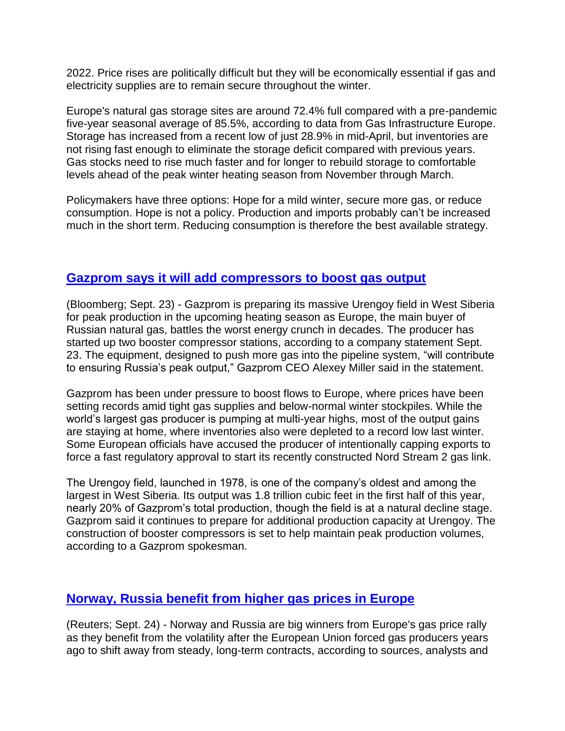2022. Price rises are politically difficult but they will be economically essential if gas and electricity supplies are to remain secure throughout the winter.

Europe's natural gas storage sites are around 72.4% full compared with a pre-pandemic five-year seasonal average of 85.5%, according to data from Gas Infrastructure Europe. Storage has increased from a recent low of just 28.9% in mid-April, but inventories are not rising fast enough to eliminate the storage deficit compared with previous years. Gas stocks need to rise much faster and for longer to rebuild storage to comfortable levels ahead of the peak winter heating season from November through March.

Policymakers have three options: Hope for a mild winter, secure more gas, or reduce consumption. Hope is not a policy. Production and imports probably can't be increased much in the short term. Reducing consumption is therefore the best available strategy.

### **[Gazprom says it will add compressors to boost gas output](https://www.bnnbloomberg.ca/gazprom-readies-key-siberian-field-for-peak-output-in-winter-1.1656621)**

(Bloomberg; Sept. 23) - Gazprom is preparing its massive Urengoy field in West Siberia for peak production in the upcoming heating season as Europe, the main buyer of Russian natural gas, battles the worst energy crunch in decades. The producer has started up two booster compressor stations, according to a company statement Sept. 23. The equipment, designed to push more gas into the pipeline system, "will contribute to ensuring Russia's peak output," Gazprom CEO Alexey Miller said in the statement.

Gazprom has been under pressure to boost flows to Europe, where prices have been setting records amid tight gas supplies and below-normal winter stockpiles. While the world's largest gas producer is pumping at multi-year highs, most of the output gains are staying at home, where inventories also were depleted to a record low last winter. Some European officials have accused the producer of intentionally capping exports to force a fast regulatory approval to start its recently constructed Nord Stream 2 gas link.

The Urengoy field, launched in 1978, is one of the company's oldest and among the largest in West Siberia. Its output was 1.8 trillion cubic feet in the first half of this year, nearly 20% of Gazprom's total production, though the field is at a natural decline stage. Gazprom said it continues to prepare for additional production capacity at Urengoy. The construction of booster compressors is set to help maintain peak production volumes, according to a Gazprom spokesman.

# **[Norway, Russia benefit from higher gas prices in Europe](https://www.nasdaq.com/articles/analysis-norway-russia-reap-rewards-from-europes-flexible-gas-market-2021-09-24)**

(Reuters; Sept. 24) - Norway and Russia are big winners from Europe's gas price rally as they benefit from the volatility after the European Union forced gas producers years ago to shift away from steady, long-term contracts, according to sources, analysts and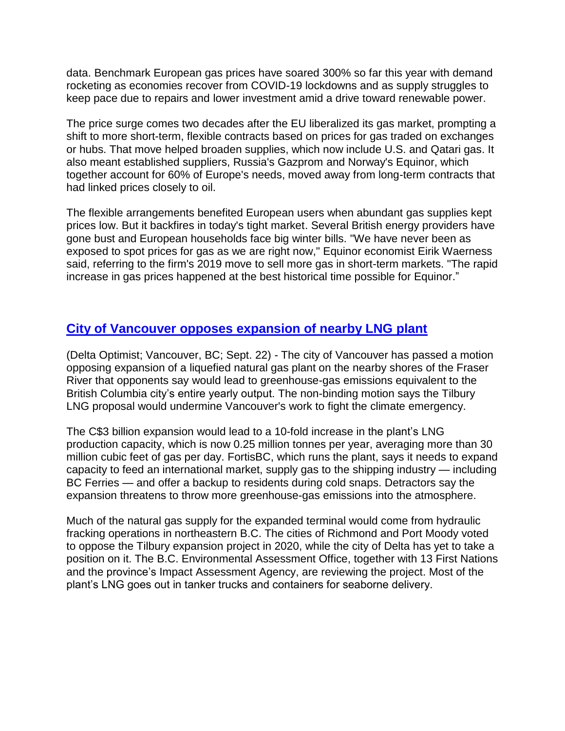data. Benchmark European gas prices have soared 300% so far this year with demand rocketing as economies recover from COVID-19 lockdowns and as supply struggles to keep pace due to repairs and lower investment amid a drive toward renewable power.

The price surge comes two decades after the EU liberalized its gas market, prompting a shift to more short-term, flexible contracts based on prices for gas traded on exchanges or hubs. That move helped broaden supplies, which now include U.S. and Qatari gas. It also meant established suppliers, Russia's Gazprom and Norway's Equinor, which together account for 60% of Europe's needs, moved away from long-term contracts that had linked prices closely to oil.

The flexible arrangements benefited European users when abundant gas supplies kept prices low. But it backfires in today's tight market. Several British energy providers have gone bust and European households face big winter bills. "We have never been as exposed to spot prices for gas as we are right now," Equinor economist Eirik Waerness said, referring to the firm's 2019 move to sell more gas in short-term markets. "The rapid increase in gas prices happened at the best historical time possible for Equinor."

# **[City of Vancouver opposes expansion of nearby LNG plant](https://www.delta-optimist.com/local-news/vancouver-latest-city-to-oppose-expansion-of-major-bc-lng-plant-4360287)**

(Delta Optimist; Vancouver, BC; Sept. 22) - The city of Vancouver has passed a motion opposing expansion of a liquefied natural gas plant on the nearby shores of the Fraser River that opponents say would lead to greenhouse-gas emissions equivalent to the British Columbia city's entire yearly output. The non-binding motion says the Tilbury LNG proposal would undermine Vancouver's work to fight the climate emergency.

The C\$3 billion expansion would lead to a 10-fold increase in the plant's LNG production capacity, which is now 0.25 million tonnes per year, averaging more than 30 million cubic feet of gas per day. FortisBC, which runs the plant, says it needs to expand capacity to feed an international market, supply gas to the shipping industry — including BC Ferries — and offer a backup to residents during cold snaps. Detractors say the expansion threatens to throw more greenhouse-gas emissions into the atmosphere.

Much of the natural gas supply for the expanded terminal would come from hydraulic fracking operations in northeastern B.C. The cities of Richmond and Port Moody voted to oppose the Tilbury expansion project in 2020, while the city of Delta has yet to take a position on it. The B.C. Environmental Assessment Office, together with 13 First Nations and the province's Impact Assessment Agency, are reviewing the project. Most of the plant's LNG goes out in tanker trucks and containers for seaborne delivery.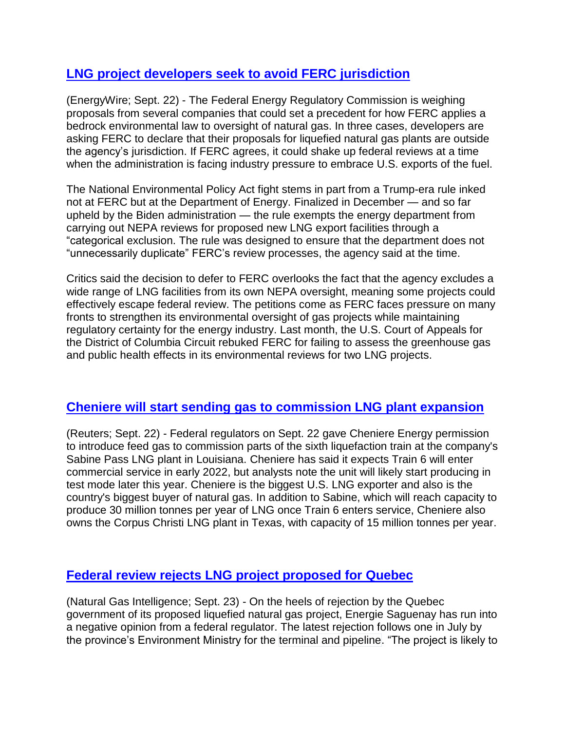# **[LNG project developers seek to avoid FERC jurisdiction](https://www.eenews.net/articles/major-gap-gas-industry-ferc-petitions-stoke-nepa-concerns/)**

(EnergyWire; Sept. 22) - The Federal Energy Regulatory Commission is weighing proposals from several companies that could set a precedent for how FERC applies a bedrock environmental law to oversight of natural gas. In three cases, developers are asking FERC to declare that their proposals for liquefied natural gas plants are outside the agency's jurisdiction. If FERC agrees, it could shake up federal reviews at a time when the administration is facing industry pressure to embrace U.S. exports of the fuel.

The National Environmental Policy Act fight stems in part from a Trump-era rule inked not at FERC but at the Department of Energy. Finalized in December — and so far upheld by the Biden administration — the rule exempts the energy department from carrying out NEPA reviews for proposed new LNG export facilities through a "categorical exclusion. The rule was designed to ensure that the department does not "unnecessarily duplicate" FERC's review processes, the agency said at the time.

Critics said the decision to defer to FERC overlooks the fact that the agency excludes a wide range of LNG facilities from its own NEPA oversight, meaning some projects could effectively escape federal review. The petitions come as FERC faces pressure on many fronts to strengthen its environmental oversight of gas projects while maintaining regulatory certainty for the energy industry. Last month, the U.S. Court of Appeals for the District of Columbia Circuit rebuked FERC for failing to assess the greenhouse gas and public health effects in its environmental reviews for two LNG projects.

### **[Cheniere will start sending gas to commission LNG plant expansion](https://money.yahoo.com/cheniere-la-sabine-6-lng-182157725.html)**

(Reuters; Sept. 22) - Federal regulators on Sept. 22 gave Cheniere Energy permission to introduce feed gas to commission parts of the sixth liquefaction train at the company's Sabine Pass LNG plant in Louisiana. Cheniere has said it expects Train 6 will enter commercial service in early 2022, but analysts note the unit will likely start producing in test mode later this year. Cheniere is the biggest U.S. LNG exporter and also is the country's biggest buyer of natural gas. In addition to Sabine, which will reach capacity to produce 30 million tonnes per year of LNG once Train 6 enters service, Cheniere also owns the Corpus Christi LNG plant in Texas, with capacity of 15 million tonnes per year.

### **[Federal review rejects LNG project proposed for Quebec](https://www.naturalgasintel.com/energie-saguenay-lng-project-in-quebec-to-cause-adverse-impacts-says-canada-regulator/)**

(Natural Gas Intelligence; Sept. 23) - On the heels of rejection by the Quebec government of its proposed liquefied natural gas project, Energie Saguenay has run into a negative opinion from a federal regulator. The latest rejection follows one in July by the province's Environment Ministry for the terminal and pipeline. "The project is likely to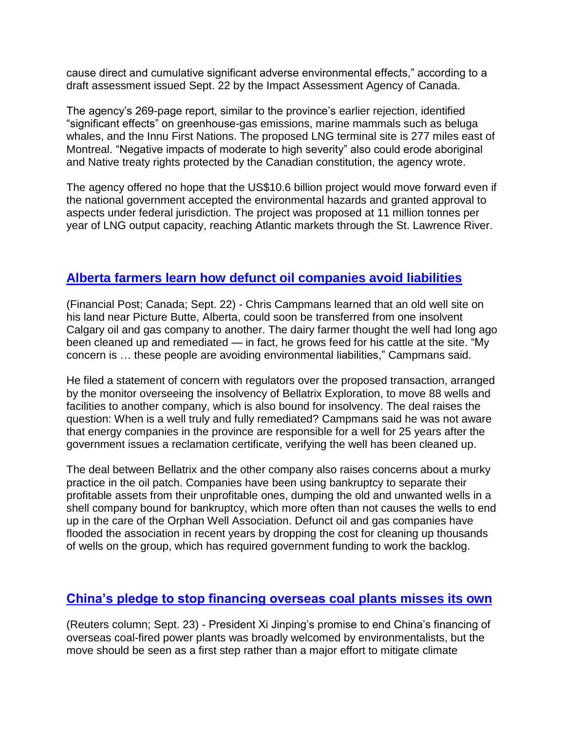cause direct and cumulative significant adverse environmental effects," according to a draft assessment issued Sept. 22 by the Impact Assessment Agency of Canada.

The agency's 269-page report, similar to the province's earlier rejection, identified "significant effects" on greenhouse-gas emissions, marine mammals such as beluga whales, and the Innu First Nations. The proposed LNG terminal site is 277 miles east of Montreal. "Negative impacts of moderate to high severity" also could erode aboriginal and Native treaty rights protected by the Canadian constitution, the agency wrote.

The agency offered no hope that the US\$10.6 billion project would move forward even if the national government accepted the environmental hazards and granted approval to aspects under federal jurisdiction. The project was proposed at 11 million tonnes per year of LNG output capacity, reaching Atlantic markets through the St. Lawrence River.

### **[Alberta farmers learn how defunct oil companies avoid liabilities](https://financialpost.com/commodities/energy/oil-gas/blindsided-alberta-farmers-fret-as-regulator-eyes-moving-bankrupt-companys-idle-oil-wells-to-new-insolvent-firm)**

(Financial Post; Canada; Sept. 22) - Chris Campmans learned that an old well site on his land near Picture Butte, Alberta, could soon be transferred from one insolvent Calgary oil and gas company to another. The dairy farmer thought the well had long ago been cleaned up and remediated — in fact, he grows feed for his cattle at the site. "My concern is … these people are avoiding environmental liabilities," Campmans said.

He filed a statement of concern with regulators over the proposed transaction, arranged by the monitor overseeing the insolvency of Bellatrix Exploration, to move 88 wells and facilities to another company, which is also bound for insolvency. The deal raises the question: When is a well truly and fully remediated? Campmans said he was not aware that energy companies in the province are responsible for a well for 25 years after the government issues a reclamation certificate, verifying the well has been cleaned up.

The deal between Bellatrix and the other company also raises concerns about a murky practice in the oil patch. Companies have been using bankruptcy to separate their profitable assets from their unprofitable ones, dumping the old and unwanted wells in a shell company bound for bankruptcy, which more often than not causes the wells to end up in the care of the Orphan Well Association. Defunct oil and gas companies have flooded the association in recent years by dropping the cost for cleaning up thousands of wells on the group, which has required government funding to work the backlog.

# **[China's pledge to stop financing overseas coal plants misses its own](https://www.reuters.com/article/uk-column-russell-coal-china/column-china-goes-after-low-hanging-coal-fruit-the-real-challenge-is-at-home-idUSKBN2GJ0JF?edition-redirect=uk)**

(Reuters column; Sept. 23) - President Xi Jinping's promise to end China's financing of overseas coal-fired power plants was broadly welcomed by environmentalists, but the move should be seen as a first step rather than a major effort to mitigate climate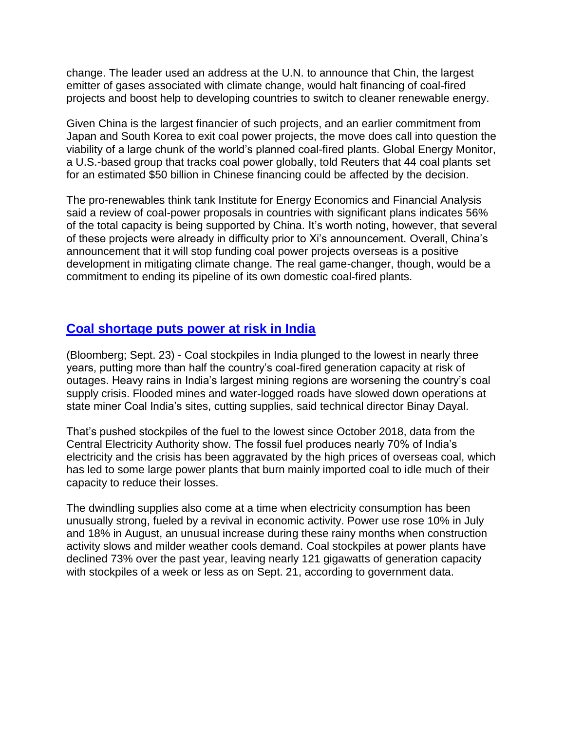change. The leader used an address at the U.N. to announce that Chin, the largest emitter of gases associated with climate change, would halt financing of coal-fired projects and boost help to developing countries to switch to cleaner renewable energy.

Given China is the largest financier of such projects, and an earlier commitment from Japan and South Korea to exit coal power projects, the move does call into question the viability of a large chunk of the world's planned coal-fired plants. Global Energy Monitor, a U.S.-based group that tracks coal power globally, told Reuters that 44 coal plants set for an estimated \$50 billion in Chinese financing could be affected by the decision.

The pro-renewables think tank Institute for Energy Economics and Financial Analysis said a review of coal-power proposals in countries with significant plans indicates 56% of the total capacity is being supported by China. It's worth noting, however, that several of these projects were already in difficulty prior to Xi's announcement. Overall, China's announcement that it will stop funding coal power projects overseas is a positive development in mitigating climate change. The real game-changer, though, would be a commitment to ending its pipeline of its own domestic coal-fired plants.

### **[Coal shortage puts power at risk in India](https://www.bnnbloomberg.ca/india-s-power-outage-risks-increase-as-coal-stockpiles-plummet-1.1656389)**

(Bloomberg; Sept. 23) - Coal stockpiles in India plunged to the lowest in nearly three years, putting more than half the country's coal-fired generation capacity at risk of outages. Heavy rains in India's largest mining regions are worsening the country's coal supply crisis. Flooded mines and water-logged roads have slowed down operations at state miner Coal India's sites, cutting supplies, said technical director Binay Dayal.

That's pushed stockpiles of the fuel to the lowest since October 2018, data from the Central Electricity Authority show. The fossil fuel produces nearly 70% of India's electricity and the crisis has been aggravated by the high prices of overseas coal, which has led to some large power plants that burn mainly imported coal to idle much of their capacity to reduce their losses.

The dwindling supplies also come at a time when electricity consumption has been unusually strong, fueled by a revival in economic activity. Power use rose 10% in July and 18% in August, an unusual increase during these rainy months when construction activity slows and milder weather cools demand. Coal stockpiles at power plants have declined 73% over the past year, leaving nearly 121 gigawatts of generation capacity with stockpiles of a week or less as on Sept. 21, according to government data.